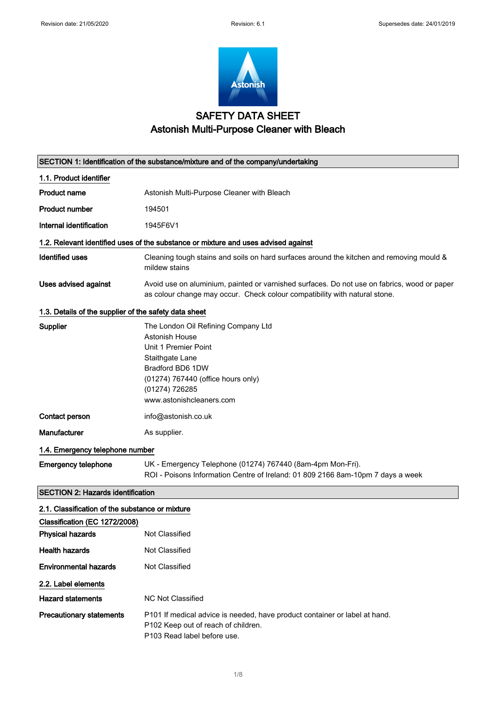

# SAFETY DATA SHEET Astonish Multi-Purpose Cleaner with Bleach

|                                                       | SECTION 1: Identification of the substance/mixture and of the company/undertaking                                                                                                                        |  |  |
|-------------------------------------------------------|----------------------------------------------------------------------------------------------------------------------------------------------------------------------------------------------------------|--|--|
| 1.1. Product identifier                               |                                                                                                                                                                                                          |  |  |
| <b>Product name</b>                                   | Astonish Multi-Purpose Cleaner with Bleach                                                                                                                                                               |  |  |
| <b>Product number</b>                                 | 194501                                                                                                                                                                                                   |  |  |
| Internal identification                               | 1945F6V1                                                                                                                                                                                                 |  |  |
|                                                       | 1.2. Relevant identified uses of the substance or mixture and uses advised against                                                                                                                       |  |  |
| <b>Identified uses</b>                                | Cleaning tough stains and soils on hard surfaces around the kitchen and removing mould &<br>mildew stains                                                                                                |  |  |
| Uses advised against                                  | Avoid use on aluminium, painted or varnished surfaces. Do not use on fabrics, wood or paper<br>as colour change may occur. Check colour compatibility with natural stone.                                |  |  |
| 1.3. Details of the supplier of the safety data sheet |                                                                                                                                                                                                          |  |  |
| Supplier                                              | The London Oil Refining Company Ltd<br>Astonish House<br>Unit 1 Premier Point<br>Staithgate Lane<br>Bradford BD6 1DW<br>(01274) 767440 (office hours only)<br>(01274) 726285<br>www.astonishcleaners.com |  |  |
| <b>Contact person</b>                                 | info@astonish.co.uk                                                                                                                                                                                      |  |  |
| Manufacturer                                          | As supplier.                                                                                                                                                                                             |  |  |
| 1.4. Emergency telephone number                       |                                                                                                                                                                                                          |  |  |
| <b>Emergency telephone</b>                            | UK - Emergency Telephone (01274) 767440 (8am-4pm Mon-Fri).<br>ROI - Poisons Information Centre of Ireland: 01 809 2166 8am-10pm 7 days a week                                                            |  |  |
| <b>SECTION 2: Hazards identification</b>              |                                                                                                                                                                                                          |  |  |
| 2.1. Classification of the substance or mixture       |                                                                                                                                                                                                          |  |  |
| Classification (EC 1272/2008)                         |                                                                                                                                                                                                          |  |  |
| <b>Physical hazards</b>                               | Not Classified                                                                                                                                                                                           |  |  |
| <b>Health hazards</b>                                 | Not Classified                                                                                                                                                                                           |  |  |
| <b>Environmental hazards</b>                          | Not Classified                                                                                                                                                                                           |  |  |
| 2.2. Label elements                                   |                                                                                                                                                                                                          |  |  |
| <b>Hazard statements</b>                              | <b>NC Not Classified</b>                                                                                                                                                                                 |  |  |
| <b>Precautionary statements</b>                       | P101 If medical advice is needed, have product container or label at hand.<br>P102 Keep out of reach of children.<br>P103 Read label before use.                                                         |  |  |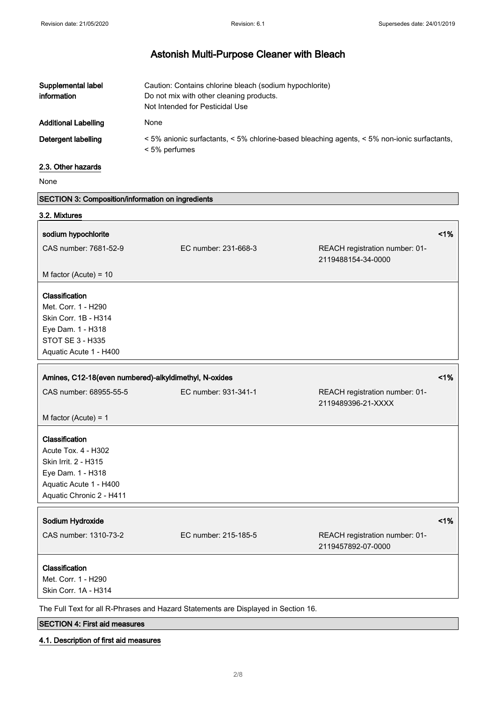| Supplemental label<br>information | Caution: Contains chlorine bleach (sodium hypochlorite)<br>Do not mix with other cleaning products.<br>Not Intended for Pesticidal Use |  |
|-----------------------------------|----------------------------------------------------------------------------------------------------------------------------------------|--|
| <b>Additional Labelling</b>       | None                                                                                                                                   |  |
| Detergent labelling               | < 5% anionic surfactants, < 5% chlorine-based bleaching agents, < 5% non-ionic surfactants,<br>< 5% perfumes                           |  |

### 2.3. Other hazards

SECTION 3: Composition/information on ingredients

None

| 3.2. Mixtures                                         |                      |                                |
|-------------------------------------------------------|----------------------|--------------------------------|
|                                                       |                      | 1%                             |
| sodium hypochlorite                                   |                      |                                |
| CAS number: 7681-52-9                                 | EC number: 231-668-3 | REACH registration number: 01- |
|                                                       |                      | 2119488154-34-0000             |
| M factor (Acute) = $10$                               |                      |                                |
| Classification                                        |                      |                                |
| Met. Corr. 1 - H290                                   |                      |                                |
| Skin Corr. 1B - H314                                  |                      |                                |
| Eye Dam. 1 - H318                                     |                      |                                |
| <b>STOT SE 3 - H335</b>                               |                      |                                |
| Aquatic Acute 1 - H400                                |                      |                                |
|                                                       |                      |                                |
| Amines, C12-18(even numbered)-alkyldimethyl, N-oxides |                      | 1%                             |
| CAS number: 68955-55-5                                | EC number: 931-341-1 | REACH registration number: 01- |
|                                                       |                      | 2119489396-21-XXXX             |
| M factor (Acute) = $1$                                |                      |                                |
|                                                       |                      |                                |
| Classification                                        |                      |                                |
| Acute Tox. 4 - H302                                   |                      |                                |
| Skin Irrit. 2 - H315                                  |                      |                                |
| Eye Dam. 1 - H318                                     |                      |                                |
| Aquatic Acute 1 - H400                                |                      |                                |
| Aquatic Chronic 2 - H411                              |                      |                                |
|                                                       |                      |                                |
| Sodium Hydroxide                                      |                      | 1%                             |
| CAS number: 1310-73-2                                 | EC number: 215-185-5 | REACH registration number: 01- |
|                                                       |                      | 2119457892-07-0000             |
|                                                       |                      |                                |
| Classification                                        |                      |                                |
| Met. Corr. 1 - H290                                   |                      |                                |
| Skin Corr. 1A - H314                                  |                      |                                |
|                                                       |                      |                                |

The Full Text for all R-Phrases and Hazard Statements are Displayed in Section 16.

SECTION 4: First aid measures

### 4.1. Description of first aid measures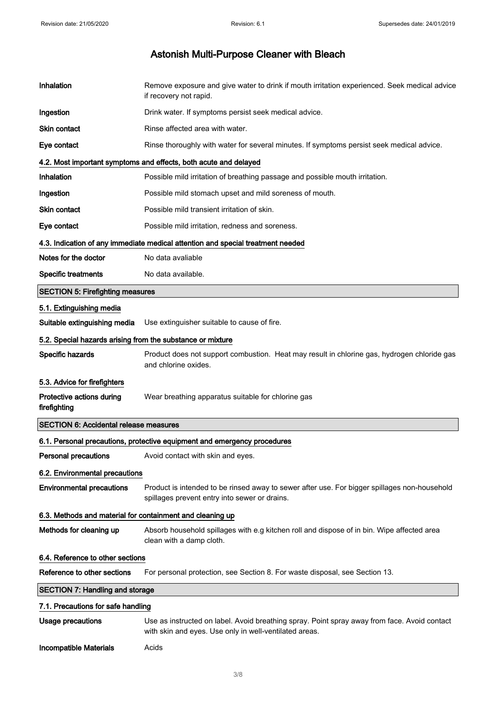| Inhalation                                                 | Remove exposure and give water to drink if mouth irritation experienced. Seek medical advice<br>if recovery not rapid.                                 |  |
|------------------------------------------------------------|--------------------------------------------------------------------------------------------------------------------------------------------------------|--|
| Ingestion                                                  | Drink water. If symptoms persist seek medical advice.                                                                                                  |  |
| Skin contact                                               | Rinse affected area with water.                                                                                                                        |  |
| Eye contact                                                | Rinse thoroughly with water for several minutes. If symptoms persist seek medical advice.                                                              |  |
|                                                            | 4.2. Most important symptoms and effects, both acute and delayed                                                                                       |  |
| Inhalation                                                 | Possible mild irritation of breathing passage and possible mouth irritation.                                                                           |  |
| Ingestion                                                  | Possible mild stomach upset and mild soreness of mouth.                                                                                                |  |
| Skin contact                                               | Possible mild transient irritation of skin.                                                                                                            |  |
| Eye contact                                                | Possible mild irritation, redness and soreness.                                                                                                        |  |
|                                                            | 4.3. Indication of any immediate medical attention and special treatment needed                                                                        |  |
| Notes for the doctor                                       | No data avaliable                                                                                                                                      |  |
| <b>Specific treatments</b>                                 | No data available.                                                                                                                                     |  |
| <b>SECTION 5: Firefighting measures</b>                    |                                                                                                                                                        |  |
| 5.1. Extinguishing media                                   |                                                                                                                                                        |  |
| Suitable extinguishing media                               | Use extinguisher suitable to cause of fire.                                                                                                            |  |
| 5.2. Special hazards arising from the substance or mixture |                                                                                                                                                        |  |
| Specific hazards                                           | Product does not support combustion. Heat may result in chlorine gas, hydrogen chloride gas<br>and chlorine oxides.                                    |  |
| 5.3. Advice for firefighters                               |                                                                                                                                                        |  |
| Protective actions during<br>firefighting                  | Wear breathing apparatus suitable for chlorine gas                                                                                                     |  |
| <b>SECTION 6: Accidental release measures</b>              |                                                                                                                                                        |  |
|                                                            | 6.1. Personal precautions, protective equipment and emergency procedures                                                                               |  |
| Personal precautions                                       | Avoid contact with skin and eyes.                                                                                                                      |  |
| 6.2. Environmental precautions                             |                                                                                                                                                        |  |
| <b>Environmental precautions</b>                           | Product is intended to be rinsed away to sewer after use. For bigger spillages non-household<br>spillages prevent entry into sewer or drains.          |  |
| 6.3. Methods and material for containment and cleaning up  |                                                                                                                                                        |  |
| Methods for cleaning up                                    | Absorb household spillages with e.g kitchen roll and dispose of in bin. Wipe affected area<br>clean with a damp cloth.                                 |  |
| 6.4. Reference to other sections                           |                                                                                                                                                        |  |
| Reference to other sections                                | For personal protection, see Section 8. For waste disposal, see Section 13.                                                                            |  |
| <b>SECTION 7: Handling and storage</b>                     |                                                                                                                                                        |  |
| 7.1. Precautions for safe handling                         |                                                                                                                                                        |  |
| <b>Usage precautions</b>                                   | Use as instructed on label. Avoid breathing spray. Point spray away from face. Avoid contact<br>with skin and eyes. Use only in well-ventilated areas. |  |
| <b>Incompatible Materials</b>                              | Acids                                                                                                                                                  |  |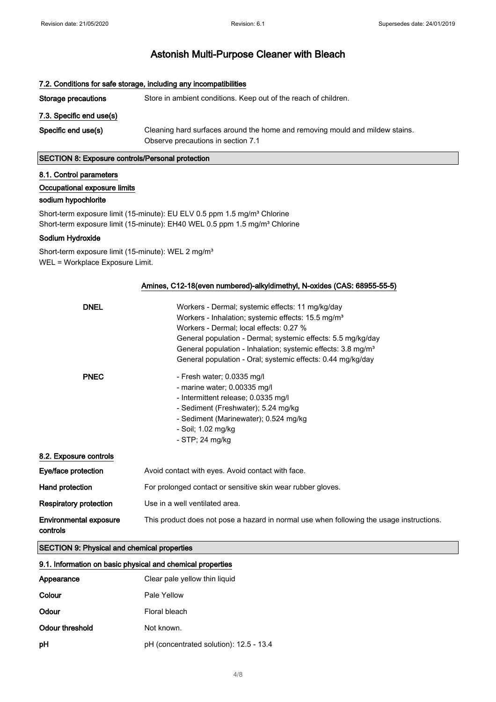## 7.2. Conditions for safe storage, including any incompatibilities

| Storage precautions      | Store in ambient conditions. Keep out of the reach of children.                                                    |  |
|--------------------------|--------------------------------------------------------------------------------------------------------------------|--|
| 7.3. Specific end use(s) |                                                                                                                    |  |
| Specific end use(s)      | Cleaning hard surfaces around the home and removing mould and mildew stains.<br>Observe precautions in section 7.1 |  |

## SECTION 8: Exposure controls/Personal protection

### 8.1. Control parameters

### Occupational exposure limits

### sodium hypochlorite

Short-term exposure limit (15-minute): EU ELV 0.5 ppm 1.5 mg/m<sup>3</sup> Chlorine Short-term exposure limit (15-minute): EH40 WEL 0.5 ppm 1.5 mg/m<sup>3</sup> Chlorine

#### Sodium Hydroxide

Short-term exposure limit (15-minute): WEL 2 mg/m<sup>3</sup> WEL = Workplace Exposure Limit.

### Amines, C12-18(even numbered)-alkyldimethyl, N-oxides (CAS: 68955-55-5)

|                                           | <b>DNEL</b> | Workers - Dermal; systemic effects: 11 mg/kg/day<br>Workers - Inhalation; systemic effects: 15.5 mg/m <sup>3</sup><br>Workers - Dermal; local effects: 0.27 %<br>General population - Dermal; systemic effects: 5.5 mg/kg/day<br>General population - Inhalation; systemic effects: 3.8 mg/m <sup>3</sup><br>General population - Oral; systemic effects: 0.44 mg/kg/day |  |
|-------------------------------------------|-------------|--------------------------------------------------------------------------------------------------------------------------------------------------------------------------------------------------------------------------------------------------------------------------------------------------------------------------------------------------------------------------|--|
|                                           | <b>PNEC</b> | - Fresh water; 0.0335 mg/l<br>- marine water; $0.00335$ mg/l<br>- Intermittent release; 0.0335 mg/l<br>- Sediment (Freshwater); 5.24 mg/kg<br>- Sediment (Marinewater); 0.524 mg/kg<br>- Soil; 1.02 mg/kg<br>$-$ STP; 24 mg/kg                                                                                                                                           |  |
| 8.2. Exposure controls                    |             |                                                                                                                                                                                                                                                                                                                                                                          |  |
| Eye/face protection                       |             | Avoid contact with eyes. Avoid contact with face.                                                                                                                                                                                                                                                                                                                        |  |
| Hand protection                           |             | For prolonged contact or sensitive skin wear rubber gloves.                                                                                                                                                                                                                                                                                                              |  |
| <b>Respiratory protection</b>             |             | Use in a well ventilated area.                                                                                                                                                                                                                                                                                                                                           |  |
| <b>Environmental exposure</b><br>controls |             | This product does not pose a hazard in normal use when following the usage instructions.                                                                                                                                                                                                                                                                                 |  |

## SECTION 9: Physical and chemical properties

| 9.1. Information on basic physical and chemical properties |                                         |  |
|------------------------------------------------------------|-----------------------------------------|--|
| Appearance                                                 | Clear pale yellow thin liquid           |  |
| Colour                                                     | Pale Yellow                             |  |
| Odour                                                      | Floral bleach                           |  |
| Odour threshold                                            | Not known.                              |  |
| pH                                                         | pH (concentrated solution): 12.5 - 13.4 |  |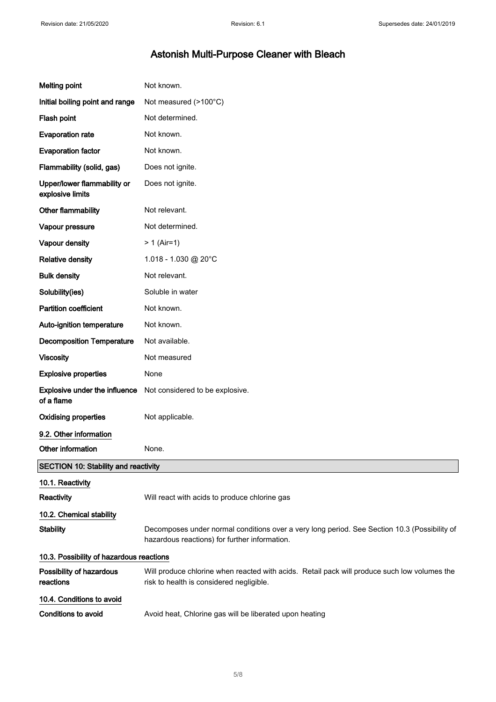| <b>Melting point</b>                            | Not known.                                                                                                                                    |
|-------------------------------------------------|-----------------------------------------------------------------------------------------------------------------------------------------------|
| Initial boiling point and range                 | Not measured (>100°C)                                                                                                                         |
| Flash point                                     | Not determined.                                                                                                                               |
| <b>Evaporation rate</b>                         | Not known.                                                                                                                                    |
| <b>Evaporation factor</b>                       | Not known.                                                                                                                                    |
| Flammability (solid, gas)                       | Does not ignite.                                                                                                                              |
| Upper/lower flammability or<br>explosive limits | Does not ignite.                                                                                                                              |
| Other flammability                              | Not relevant.                                                                                                                                 |
| Vapour pressure                                 | Not determined.                                                                                                                               |
| Vapour density                                  | $> 1$ (Air=1)                                                                                                                                 |
| <b>Relative density</b>                         | 1.018 - 1.030 @ 20°C                                                                                                                          |
| <b>Bulk density</b>                             | Not relevant.                                                                                                                                 |
| Solubility(ies)                                 | Soluble in water                                                                                                                              |
| <b>Partition coefficient</b>                    | Not known.                                                                                                                                    |
| Auto-ignition temperature                       | Not known.                                                                                                                                    |
| <b>Decomposition Temperature</b>                | Not available.                                                                                                                                |
| <b>Viscosity</b>                                | Not measured                                                                                                                                  |
| <b>Explosive properties</b>                     | None                                                                                                                                          |
| Explosive under the influence<br>of a flame     | Not considered to be explosive.                                                                                                               |
| <b>Oxidising properties</b>                     | Not applicable.                                                                                                                               |
| 9.2. Other information                          |                                                                                                                                               |
| Other information                               | None.                                                                                                                                         |
| <b>SECTION 10: Stability and reactivity</b>     |                                                                                                                                               |
| 10.1. Reactivity                                |                                                                                                                                               |
| Reactivity                                      | Will react with acids to produce chlorine gas                                                                                                 |
| 10.2. Chemical stability                        |                                                                                                                                               |
| <b>Stability</b>                                | Decomposes under normal conditions over a very long period. See Section 10.3 (Possibility of<br>hazardous reactions) for further information. |
| 10.3. Possibility of hazardous reactions        |                                                                                                                                               |
| Possibility of hazardous<br>reactions           | Will produce chlorine when reacted with acids. Retail pack will produce such low volumes the<br>risk to health is considered negligible.      |
| 10.4. Conditions to avoid                       |                                                                                                                                               |
| Conditions to avoid                             | Avoid heat, Chlorine gas will be liberated upon heating                                                                                       |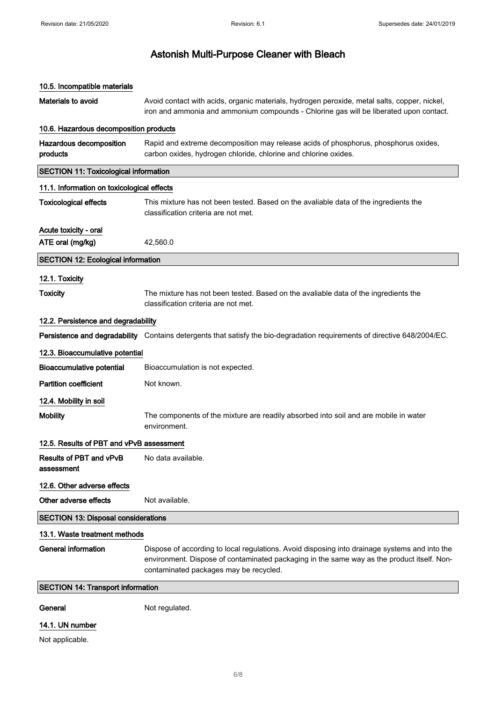| 10.5. Incompatible materials                 |                                                                                                                                                                                                                                       |
|----------------------------------------------|---------------------------------------------------------------------------------------------------------------------------------------------------------------------------------------------------------------------------------------|
| Materials to avoid                           | Avoid contact with acids, organic materials, hydrogen peroxide, metal salts, copper, nickel,<br>iron and ammonia and ammonium compounds - Chlorine gas will be liberated upon contact.                                                |
| 10.6. Hazardous decomposition products       |                                                                                                                                                                                                                                       |
| Hazardous decomposition<br>products          | Rapid and extreme decomposition may release acids of phosphorus, phosphorus oxides,<br>carbon oxides, hydrogen chloride, chlorine and chlorine oxides.                                                                                |
| <b>SECTION 11: Toxicological information</b> |                                                                                                                                                                                                                                       |
| 11.1. Information on toxicological effects   |                                                                                                                                                                                                                                       |
| <b>Toxicological effects</b>                 | This mixture has not been tested. Based on the avaliable data of the ingredients the<br>classification criteria are not met.                                                                                                          |
| Acute toxicity - oral                        |                                                                                                                                                                                                                                       |
| ATE oral (mg/kg)                             | 42,560.0                                                                                                                                                                                                                              |
| <b>SECTION 12: Ecological information</b>    |                                                                                                                                                                                                                                       |
| 12.1. Toxicity                               |                                                                                                                                                                                                                                       |
| <b>Toxicity</b>                              | The mixture has not been tested. Based on the avaliable data of the ingredients the<br>classification criteria are not met.                                                                                                           |
| 12.2. Persistence and degradability          |                                                                                                                                                                                                                                       |
|                                              | Persistence and degradability Contains detergents that satisfy the bio-degradation requirements of directive 648/2004/EC.                                                                                                             |
| 12.3. Bioaccumulative potential              |                                                                                                                                                                                                                                       |
| <b>Bioaccumulative potential</b>             | Bioaccumulation is not expected.                                                                                                                                                                                                      |
| <b>Partition coefficient</b>                 | Not known.                                                                                                                                                                                                                            |
| 12.4. Mobility in soil                       |                                                                                                                                                                                                                                       |
| <b>Mobility</b>                              | The components of the mixture are readily absorbed into soil and are mobile in water<br>environment.                                                                                                                                  |
| 12.5. Results of PBT and vPvB assessment     |                                                                                                                                                                                                                                       |
| <b>Results of PBT and vPvB</b><br>assessment | No data available.                                                                                                                                                                                                                    |
| 12.6. Other adverse effects                  |                                                                                                                                                                                                                                       |
| Other adverse effects                        | Not available.                                                                                                                                                                                                                        |
| <b>SECTION 13: Disposal considerations</b>   |                                                                                                                                                                                                                                       |
| 13.1. Waste treatment methods                |                                                                                                                                                                                                                                       |
| <b>General information</b>                   | Dispose of according to local regulations. Avoid disposing into drainage systems and into the<br>environment. Dispose of contaminated packaging in the same way as the product itself. Non-<br>contaminated packages may be recycled. |
| <b>SECTION 14: Transport information</b>     |                                                                                                                                                                                                                                       |
| General                                      | Not regulated.                                                                                                                                                                                                                        |

## 14.1. UN number

Not applicable.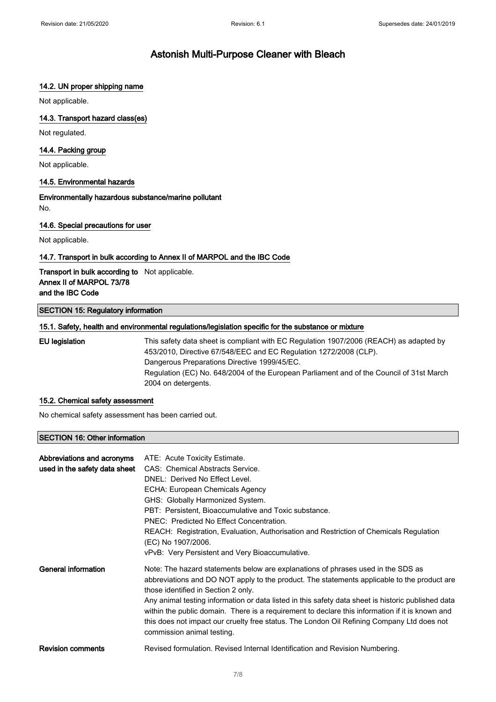### 14.2. UN proper shipping name

Not applicable.

### 14.3. Transport hazard class(es)

Not regulated.

### 14.4. Packing group

Not applicable.

#### 14.5. Environmental hazards

Environmentally hazardous substance/marine pollutant No.

### 14.6. Special precautions for user

Not applicable.

#### 14.7. Transport in bulk according to Annex II of MARPOL and the IBC Code

Transport in bulk according to Not applicable. Annex II of MARPOL 73/78 and the IBC Code

#### SECTION 15: Regulatory information

#### 15.1. Safety, health and environmental regulations/legislation specific for the substance or mixture

EU legislation This safety data sheet is compliant with EC Regulation 1907/2006 (REACH) as adapted by 453/2010, Directive 67/548/EEC and EC Regulation 1272/2008 (CLP). Dangerous Preparations Directive 1999/45/EC. Regulation (EC) No. 648/2004 of the European Parliament and of the Council of 31st March 2004 on detergents.

### 15.2. Chemical safety assessment

No chemical safety assessment has been carried out.

#### SECTION 16: Other information

| Abbreviations and acronyms<br>used in the safety data sheet | ATE: Acute Toxicity Estimate.<br>CAS: Chemical Abstracts Service.<br>DNEL: Derived No Effect Level.<br>ECHA: European Chemicals Agency<br>GHS: Globally Harmonized System.<br>PBT: Persistent, Bioaccumulative and Toxic substance.<br>PNEC: Predicted No Effect Concentration.<br>REACH: Registration, Evaluation, Authorisation and Restriction of Chemicals Regulation<br>(EC) No 1907/2006.<br>vPvB: Very Persistent and Very Bioaccumulative.                                                                                                          |
|-------------------------------------------------------------|-------------------------------------------------------------------------------------------------------------------------------------------------------------------------------------------------------------------------------------------------------------------------------------------------------------------------------------------------------------------------------------------------------------------------------------------------------------------------------------------------------------------------------------------------------------|
| General information                                         | Note: The hazard statements below are explanations of phrases used in the SDS as<br>abbreviations and DO NOT apply to the product. The statements applicable to the product are<br>those identified in Section 2 only.<br>Any animal testing information or data listed in this safety data sheet is historic published data<br>within the public domain. There is a requirement to declare this information if it is known and<br>this does not impact our cruelty free status. The London Oil Refining Company Ltd does not<br>commission animal testing. |
| <b>Revision comments</b>                                    | Revised formulation. Revised Internal Identification and Revision Numbering.                                                                                                                                                                                                                                                                                                                                                                                                                                                                                |